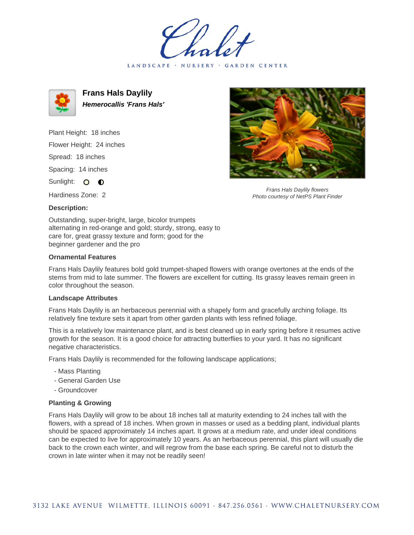LANDSCAPE · NURSERY · GARDEN CENTER



**Frans Hals Daylily Hemerocallis 'Frans Hals'**

Plant Height: 18 inches Flower Height: 24 inches Spread: 18 inches Spacing: 14 inches

Sunlight: O **O** 

Hardiness Zone: 2



Frans Hals Daylily flowers Photo courtesy of NetPS Plant Finder

**Description:**

Outstanding, super-bright, large, bicolor trumpets alternating in red-orange and gold; sturdy, strong, easy to care for, great grassy texture and form; good for the beginner gardener and the pro

## **Ornamental Features**

Frans Hals Daylily features bold gold trumpet-shaped flowers with orange overtones at the ends of the stems from mid to late summer. The flowers are excellent for cutting. Its grassy leaves remain green in color throughout the season.

## **Landscape Attributes**

Frans Hals Daylily is an herbaceous perennial with a shapely form and gracefully arching foliage. Its relatively fine texture sets it apart from other garden plants with less refined foliage.

This is a relatively low maintenance plant, and is best cleaned up in early spring before it resumes active growth for the season. It is a good choice for attracting butterflies to your yard. It has no significant negative characteristics.

Frans Hals Daylily is recommended for the following landscape applications;

- Mass Planting
- General Garden Use
- Groundcover

## **Planting & Growing**

Frans Hals Daylily will grow to be about 18 inches tall at maturity extending to 24 inches tall with the flowers, with a spread of 18 inches. When grown in masses or used as a bedding plant, individual plants should be spaced approximately 14 inches apart. It grows at a medium rate, and under ideal conditions can be expected to live for approximately 10 years. As an herbaceous perennial, this plant will usually die back to the crown each winter, and will regrow from the base each spring. Be careful not to disturb the crown in late winter when it may not be readily seen!